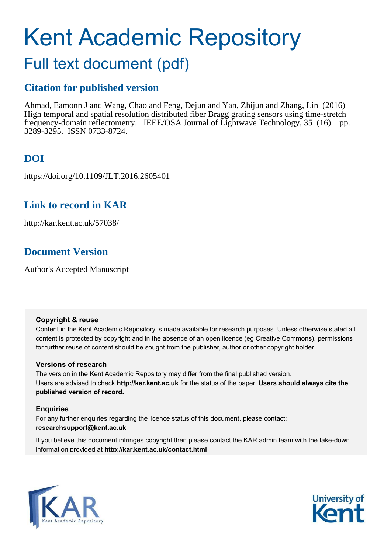# Kent Academic Repository

# Full text document (pdf)

## **Citation for published version**

Ahmad, Eamonn J and Wang, Chao and Feng, Dejun and Yan, Zhijun and Zhang, Lin (2016) High temporal and spatial resolution distributed fiber Bragg grating sensors using time-stretch frequency-domain reflectometry. IEEE/OSA Journal of Lightwave Technology, 35 (16). pp. 3289-3295. ISSN 0733-8724.

# **DOI**

https://doi.org/10.1109/JLT.2016.2605401

## **Link to record in KAR**

http://kar.kent.ac.uk/57038/

## **Document Version**

Author's Accepted Manuscript

#### **Copyright & reuse**

Content in the Kent Academic Repository is made available for research purposes. Unless otherwise stated all content is protected by copyright and in the absence of an open licence (eg Creative Commons), permissions for further reuse of content should be sought from the publisher, author or other copyright holder.

#### **Versions of research**

The version in the Kent Academic Repository may differ from the final published version. Users are advised to check **http://kar.kent.ac.uk** for the status of the paper. **Users should always cite the published version of record.**

#### **Enquiries**

For any further enquiries regarding the licence status of this document, please contact: **researchsupport@kent.ac.uk**

If you believe this document infringes copyright then please contact the KAR admin team with the take-down information provided at **http://kar.kent.ac.uk/contact.html**



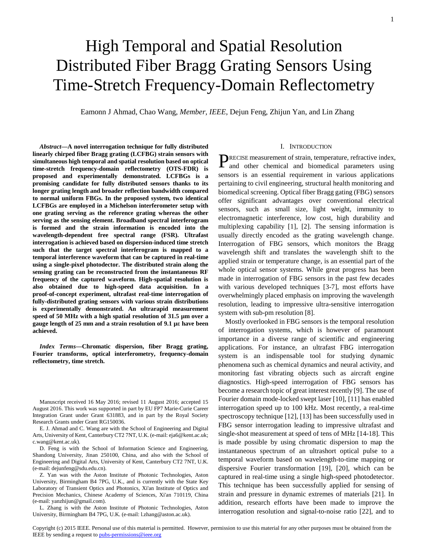# High Temporal and Spatial Resolution Distributed Fiber Bragg Grating Sensors Using Time-Stretch Frequency-Domain Reflectometry

Eamonn J Ahmad, Chao Wang, *Member, IEEE*, Dejun Feng, Zhijun Yan, and Lin Zhang

*Abstract***—A novel interrogation technique for fully distributed linearly chirped fiber Bragg grating (LCFBG) strain sensors with simultaneous high temporal and spatial resolution based on optical time-stretch frequency-domain reflectometry (OTS-FDR) is proposed and experimentally demonstrated. LCFBGs is a promising candidate for fully distributed sensors thanks to its longer grating length and broader reflection bandwidth compared to normal uniform FBGs. In the proposed system, two identical LCFBGs are employed in a Michelson interferometer setup with one grating serving as the reference grating whereas the other serving as the sensing element. Broadband spectral interferogram is formed and the strain information is encoded into the wavelength-dependent free spectral range (FSR). Ultrafast interrogation is achieved based on dispersion-induced time stretch such that the target spectral interferogram is mapped to a temporal interference waveform that can be captured in real-time using a single-pixel photodector. The distributed strain along the sensing grating can be reconstructed from the instantaneous RF frequency of the captured waveform. High-spatial resolution is also obtained due to high-speed data acquisition. In a proof-of-concept experiment, ultrafast real-time interrogation of fully-distributed grating sensors with various strain distributions is experimentally demonstrated. An ultrarapid measurement speed of 50 MHz with a high spatial resolution of 31.5 µm over a gauge length of 25 mm and a strain resolution of 9.1 µi have been achieved.** 

*Index Terms***—Chromatic dispersion, fiber Bragg grating, Fourier transforms, optical interferometry, frequency-domain reflectometry, time stretch.** 

Manuscript received 16 May 2016; revised 11 August 2016; accepted 15 August 2016. This work was supported in part by EU FP7 Marie-Curie Career Integration Grant under Grant 631883, and in part by the Royal Society Research Grants under Grant RG150036.

E. J. Ahmad and C. Wang are with the School of Engineering and Digital Arts, University of Kent, Canterbury CT2 7NT, U.K. (e-mail: eja6@kent.ac.uk; c.wang@kent.ac.uk).

D. Feng is with the School of Information Science and Engineering, Shandong University, Jinan 250100, China, and also with the School of Engineering and Digital Arts, University of Kent, Canterbury CT2 7NT, U.K. (e-mail: dejunfeng@sdu.edu.cn).

Z. Yan was with the Aston Institute of Photonic Technologies, Aston University, Birmingham B4 7PG, U.K., and is currently with the State Key Laboratory of Transient Optics and Photonics, Xi'an Institute of Optics and Precision Mechanics, Chinese Academy of Sciences, Xi'an 710119, China (e-mail: yanzhijun@gmail.com).

L. Zhang is with the Aston Institute of Photonic Technologies, Aston University, Birmingham B4 7PG, U.K. (e-mail: l.zhang@aston.ac.uk).

#### I. INTRODUCTION

RECISE measurement of strain, temperature, refractive index, PRECISE measurement of strain, temperature, refractive index, and other chemical and biomedical parameters using sensors is an essential requirement in various applications pertaining to civil engineering, structural health monitoring and biomedical screening. Optical fiber Bragg gating (FBG) sensors offer significant advantages over conventional electrical sensors, such as small size, light weight, immunity to electromagnetic interference, low cost, high durability and multiplexing capability [1], [2]. The sensing information is usually directly encoded as the grating wavelength change. Interrogation of FBG sensors, which monitors the Bragg wavelength shift and translates the wavelength shift to the applied strain or temperature change, is an essential part of the whole optical sensor systems. While great progress has been made in interrogation of FBG sensors in the past few decades with various developed techniques [3-7], most efforts have overwhelmingly placed emphasis on improving the wavelength resolution, leading to impressive ultra-sensitive interrogation system with sub-pm resolution [8].

Mostly overlooked in FBG sensors is the temporal resolution of interrogation systems, which is however of paramount importance in a diverse range of scientific and engineering applications. For instance, an ultrafast FBG interrogation system is an indispensable tool for studying dynamic phenomena such as chemical dynamics and neural activity, and monitoring fast vibrating objects such as aircraft engine diagnostics. High-speed interrogation of FBG sensors has become a research topic of great interest recently [9]. The use of Fourier domain mode-locked swept laser [10], [11] has enabled interrogation speed up to 100 kHz. Most recently, a real-time spectroscopy technique [12], [13] has been successfully used in FBG sensor interrogation leading to impressive ultrafast and single-shot measurement at speed of tens of MHz [14-18]. This is made possible by using chromatic dispersion to map the instantaneous spectrum of an ultrashort optical pulse to a temporal waveform based on wavelength-to-time mapping or dispersive Fourier transformation [19], [20], which can be captured in real-time using a single high-speed photodetector. This technique has been successfully applied for sensing of strain and pressure in dynamic extremes of materials [21]. In addition, research efforts have been made to improve the interrogation resolution and signal-to-noise ratio [22], and to

Copyright (c) 2015 IEEE. Personal use of this material is permitted. However, permission to use this material for any other purposes must be obtained from the IEEE by sending a request t[o pubs-permissions@ieee.org](mailto:pubs-permissions@ieee.org)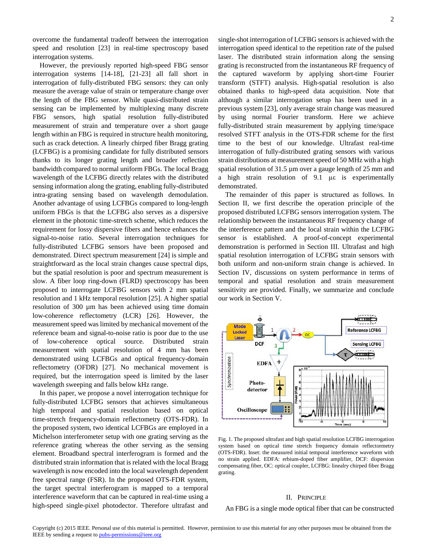overcome the fundamental tradeoff between the interrogation speed and resolution [23] in real-time spectroscopy based interrogation systems.

However, the previously reported high-speed FBG sensor interrogation systems [14-18], [21-23] all fall short in interrogation of fully-distributed FBG sensors: they can only measure the average value of strain or temperature change over the length of the FBG sensor. While quasi-distributed strain sensing can be implemented by multiplexing many discrete FBG sensors, high spatial resolution fully-distributed measurement of strain and temperature over a short gauge length within an FBG is required in structure health monitoring, such as crack detection. A linearly chirped fiber Bragg grating (LCFBG) is a promising candidate for fully distributed sensors thanks to its longer grating length and broader reflection bandwidth compared to normal uniform FBGs. The local Bragg wavelength of the LCFBG directly relates with the distributed sensing information along the grating, enabling fully-distributed intra-grating sensing based on wavelength demodulation. Another advantage of using LCFBGs compared to long-length uniform FBGs is that the LCFBG also serves as a dispersive element in the photonic time-stretch scheme, which reduces the requirement for lossy dispersive fibers and hence enhances the signal-to-noise ratio. Several interrogation techniques for fully-distributed LCFBG sensors have been proposed and demonstrated. Direct spectrum measurement [24] is simple and straightforward as the local strain changes cause spectral dips, but the spatial resolution is poor and spectrum measurement is slow. A fiber loop ring-down (FLRD) spectroscopy has been proposed to interrogate LCFBG sensors with 2 mm spatial resolution and 1 kHz temporal resolution [25]. A higher spatial resolution of 300 µm has been achieved using time domain low-coherence reflectometry (LCR) [26]. However, the measurement speed was limited by mechanical movement of the reference beam and signal-to-noise ratio is poor due to the use of low-coherence optical source. Distributed strain measurement with spatial resolution of 4 mm has been demonstrated using LCFBGs and optical frequency-domain reflectometry (OFDR) [27]. No mechanical movement is required, but the interrogation speed is limited by the laser wavelength sweeping and falls below kHz range.

In this paper, we propose a novel interrogation technique for fully-distributed LCFBG sensors that achieves simultaneous high temporal and spatial resolution based on optical time-stretch frequency-domain reflectometry (OTS-FDR). In the proposed system, two identical LCFBGs are employed in a Michelson interferometer setup with one grating serving as the reference grating whereas the other serving as the sensing element. Broadband spectral interferogram is formed and the distributed strain information that is related with the local Bragg wavelength is now encoded into the local wavelength dependent free spectral range (FSR). In the proposed OTS-FDR system, the target spectral interferogram is mapped to a temporal interference waveform that can be captured in real-time using a high-speed single-pixel photodector. Therefore ultrafast and single-shot interrogation of LCFBG sensors is achieved with the interrogation speed identical to the repetition rate of the pulsed laser. The distributed strain information along the sensing grating is reconstructed from the instantaneous RF frequency of the captured waveform by applying short-time Fourier transform (STFT) analysis. High-spatial resolution is also obtained thanks to high-speed data acquisition. Note that although a similar interrogation setup has been used in a previous system [23], only average strain change was measured by using normal Fourier transform. Here we achieve fully-distributed strain measurement by applying time/space resolved STFT analysis in the OTS-FDR scheme for the first time to the best of our knowledge. Ultrafast real-time interrogation of fully-distributed grating sensors with various strain distributions at measurement speed of 50 MHz with a high spatial resolution of 31.5 µm over a gauge length of 25 mm and a high strain resolution of  $9.1 \text{ }\mu\text{s}$  is experimentally demonstrated.

The remainder of this paper is structured as follows. In Section II, we first describe the operation principle of the proposed distributed LCFBG sensors interrogation system. The relationship between the instantaneous RF frequency change of the interference pattern and the local strain within the LCFBG sensor is established. A proof-of-concept experimental demonstration is performed in Section III. Ultrafast and high spatial resolution interrogation of LCFBG strain sensors with both uniform and non-uniform strain change is achieved. In Section IV, discussions on system performance in terms of temporal and spatial resolution and strain measurement sensitivity are provided. Finally, we summarize and conclude our work in Section V.



Fig. 1. The proposed ultrafast and high spatial resolution LCFBG interrogation system based on optical time stretch frequency domain reflectormetry (OTS-FDR). Inset: the measured initial temporal interference waveform with no strain applied. EDFA: erbium-doped fiber amplifier, DCF: dispersion compensating fiber, OC: optical coupler, LCFBG: linealry chirped fiber Bragg grating.

#### II. PRINCIPLE

An FBG is a single mode optical fiber that can be constructed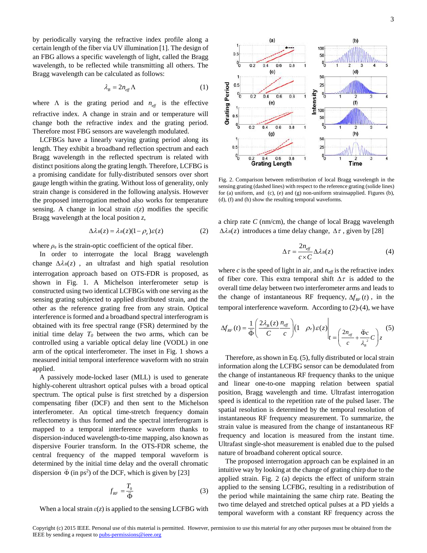by periodically varying the refractive index profile along a certain length of the fiber via UV illumination [1]. The design of an FBG allows a specific wavelength of light, called the Bragg wavelength, to be reflected while transmitting all others. The Bragg wavelength can be calculated as follows:

$$
\lambda_B = 2n_{\text{eff}}\Lambda \tag{1}
$$

where  $\Lambda$  is the grating period and  $n_{\text{eff}}$  is the effective refractive index. A change in strain and or temperature will change both the refractive index and the grating period. Therefore most FBG sensors are wavelength modulated.

LCFBGs have a linearly varying grating period along its length. They exhibit a broadband reflection spectrum and each Bragg wavelength in the reflected spectrum is related with distinct positions along the grating length. Therefore, LCFBG is a promising candidate for fully-distributed sensors over short gauge length within the grating. Without loss of generality, only strain change is considered in the following analysis. However the proposed interrogation method also works for temperature sensing. A change in local strain  $\varepsilon(z)$  modifies the specific Bragg wavelength at the local position *z*,

$$
\Delta \lambda_B(z) = \lambda_B(z)(1 - \rho_e)\varepsilon(z) \tag{2}
$$

where  $\rho_e$  is the strain-optic coefficient of the optical fiber.

In order to interrogate the local Bragg wavelength change  $\Delta \lambda_B(z)$ , an ultrafast and high spatial resolution interrogation approach based on OTS-FDR is proposed, as shown in Fig. 1. A Michelson interferometer setup is constructed using two identical LCFBGs with one serving as the sensing grating subjected to applied distributed strain, and the other as the reference grating free from any strain. Optical interference is formed and a broadband spectral interferogram is obtained with its free spectral range (FSR) determined by the initial time delay *T<sup>0</sup>* between the two arms, which can be controlled using a variable optical delay line (VODL) in one arm of the optical interferometer. The inset in Fig. 1 shows a measured initial temporal interference waveform with no strain applied.

A passively mode-locked laser (MLL) is used to generate highly-coherent ultrashort optical pulses with a broad optical spectrum. The optical pulse is first stretched by a dispersion compensating fiber (DCF) and then sent to the Michelson interferometer. An optical time-stretch frequency domain reflectometry is thus formed and the spectral interferogram is mapped to a temporal interference waveform thanks to dispersion-induced wavelength-to-time mapping, also known as dispersive Fourier transform. In the OTS-FDR scheme, the central frequency of the mapped temporal waveform is determined by the initial time delay and the overall chromatic dispersion  $\ddot{\Phi}$  (in ps<sup>2</sup>) of the DCF, which is given by [23]

$$
f_{RF} = \frac{T_0}{\ddot{\Phi}} \tag{3}
$$

When a local strain  $\varepsilon(z)$  is applied to the sensing LCFBG with



Fig. 2. Comparison between redistribution of local Bragg wavelength in the sensing grating (dashed lines) with respect to the reference grating (solide lines) for (a) uniform, and (c), (e) and (g) non-uniform strainsapplied. Figures (b), (d), (f) and (h) show the resulting temporal waveforms.

a chirp rate *C* (nm/cm), the change of local Bragg wavelength  $\Delta \lambda_B(z)$  introduces a time delay change,  $\Delta \tau$ , given by [28]

$$
\Delta \tau = \frac{2n_{\text{eff}}}{c \times C} \Delta \lambda_B(z) \tag{4}
$$

where  $c$  is the speed of light in air, and  $n_{\text{eff}}$  is the refractive index of fiber core. This extra temporal shift  $\Delta \tau$  is added to the overall time delay between two interferometer arms and leads to the change of instantaneous RF frequency,  $\Delta f_{RF}(t)$ , in the temporal interference waveform. According to (2)-(4), we have

$$
\Delta f_{RF}(t) = \frac{1}{\ddot{\Phi}} \left( \frac{2\lambda_B(z)}{C} \frac{n_{\text{eff}}}{c} \right) \left( 1 - \rho_e \right) \mathcal{E}(z) \Bigg|_{t = \left( \frac{2n_{\text{eff}}}{c} + \frac{\ddot{\Phi}c}{\lambda_B^2} C \right) z} \tag{5}
$$

Therefore, as shown in Eq. (5), fully distributed or local strain information along the LCFBG sensor can be demodulated from the change of instantaneous RF frequency thanks to the unique and linear one-to-one mapping relation between spatial position, Bragg wavelength and time. Ultrafast interrogation speed is identical to the repetition rate of the pulsed laser. The spatial resolution is determined by the temporal resolution of instantaneous RF frequency measurement. To summarize, the strain value is measured from the change of instantaneous RF frequency and location is measured from the instant time. Ultrafast single-shot measurement is enabled due to the pulsed nature of broadband coherent optical source.

The proposed interrogation approach can be explained in an intuitive way by looking at the change of grating chirp due to the applied strain. Fig. 2 (a) depicts the effect of uniform strain applied to the sensing LCFBG, resulting in a redistribution of the period while maintaining the same chirp rate. Beating the two time delayed and stretched optical pulses at a PD yields a temporal waveform with a constant RF frequency across the

Copyright (c) 2015 IEEE. Personal use of this material is permitted. However, permission to use this material for any other purposes must be obtained from the IEEE by sending a request t[o pubs-permissions@ieee.org](mailto:pubs-permissions@ieee.org)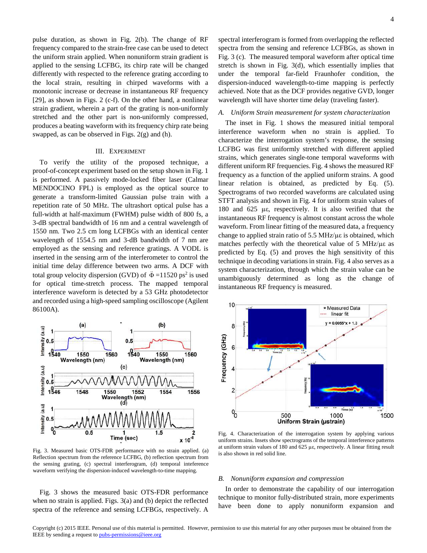pulse duration, as shown in Fig. 2(b). The change of RF frequency compared to the strain-free case can be used to detect the uniform strain applied. When nonuniform strain gradient is applied to the sensing LCFBG, its chirp rate will be changed differently with respected to the reference grating according to the local strain, resulting in chirped waveforms with a monotonic increase or decrease in instantaneous RF frequency [29], as shown in Figs. 2 (c-f). On the other hand, a nonlinear strain gradient, wherein a part of the grating is non-uniformly stretched and the other part is non-uniformly compressed, produces a beating waveform with its frequency chirp rate being swapped, as can be observed in Figs. 2(g) and (h).

#### III. EXPERIMENT

To verify the utility of the proposed technique, a proof-of-concept experiment based on the setup shown in Fig. 1 is performed. A passively mode-locked fiber laser (Calmar MENDOCINO FPL) is employed as the optical source to generate a transform-limited Gaussian pulse train with a repetition rate of 50 MHz. The ultrashort optical pulse has a full-width at half-maximum (FWHM) pulse width of 800 fs, a 3-dB spectral bandwidth of 16 nm and a central wavelength of 1550 nm. Two 2.5 cm long LCFBGs with an identical center wavelength of 1554.5 nm and 3-dB bandwidth of 7 nm are employed as the sensing and reference gratings. A VODL is inserted in the sensing arm of the interferometer to control the initial time delay difference between two arms. A DCF with total group velocity dispersion (GVD) of  $\ddot{\Phi} = 11520$  ps<sup>2</sup> is used for optical time-stretch process. The mapped temporal interference waveform is detected by a 53 GHz photodetector and recorded using a high-speed sampling oscilloscope (Agilent 86100A).



Fig. 3. Measured basic OTS-FDR performance with no strain applied. (a) Reflection spectrum from the reference LCFBG, (b) reflection spectrum from the sensing grating, (c) spectral interferogram, (d) temporal inteference waveform verifying the dispersion-induced wavelength-to-time mapping.

Fig. 3 shows the measured basic OTS-FDR performance when no strain is applied. Figs. 3(a) and (b) depict the reflected spectra of the reference and sensing LCFBGs, respectively. A spectral interferogram is formed from overlapping the reflected spectra from the sensing and reference LCFBGs, as shown in Fig. 3 (c). The measured temporal waveform after optical time stretch is shown in Fig. 3(d), which essentially implies that under the temporal far-field Fraunhofer condition, the dispersion-induced wavelength-to-time mapping is perfectly achieved. Note that as the DCF provides negative GVD, longer wavelength will have shorter time delay (traveling faster).

#### *A. Uniform Strain measurement for system characterization*

The inset in Fig. 1 shows the measured initial temporal interference waveform when no strain is applied. To characterize the interrogation system's response, the sensing LCFBG was first uniformly stretched with different applied strains, which generates single-tone temporal waveforms with different uniform RF frequencies. Fig. 4 shows the measured RF frequency as a function of the applied uniform strains. A good linear relation is obtained, as predicted by Eq. (5). Spectrograms of two recorded waveforms are calculated using STFT analysis and shown in Fig. 4 for uniform strain values of 180 and  $625$  µe, respectively. It is also verified that the instantaneous RF frequency is almost constant across the whole waveform. From linear fitting of the measured data, a frequency change to applied strain ratio of  $5.5$  MHz/ $\mu\epsilon$  is obtained, which matches perfectly with the theoretical value of  $5$  MHz/ $\mu\epsilon$  as predicted by Eq. (5) and proves the high sensitivity of this technique in decoding variations in strain. Fig. 4 also serves as a system characterization, through which the strain value can be unambiguously determined as long as the change of instantaneous RF frequency is measured.



Fig. 4. Characterization of the interrogation system by applying various uniform strains. Insets show spectrograms of the temporal interference patterns at uniform strain values of 180 and  $625 \mu \varepsilon$ , respectively. A linear fitting result is also shown in red solid line.

#### *B. Nonuniform expansion and compression*

In order to demonstrate the capability of our interrogation technique to monitor fully-distributed strain, more experiments have been done to apply nonuniform expansion and

Copyright (c) 2015 IEEE. Personal use of this material is permitted. However, permission to use this material for any other purposes must be obtained from the IEEE by sending a request t[o pubs-permissions@ieee.org](mailto:pubs-permissions@ieee.org)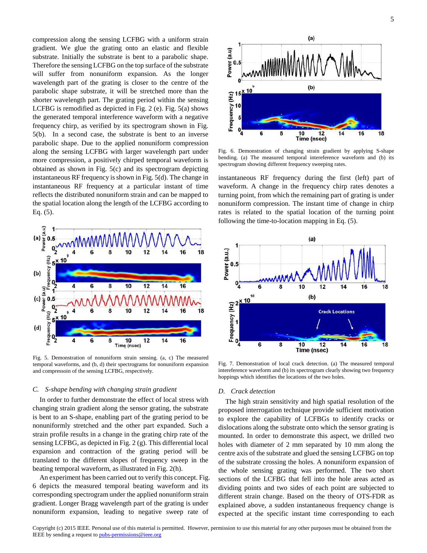compression along the sensing LCFBG with a uniform strain gradient. We glue the grating onto an elastic and flexible substrate. Initially the substrate is bent to a parabolic shape. Therefore the sensing LCFBG on the top surface of the substrate will suffer from nonuniform expansion. As the longer wavelength part of the grating is closer to the centre of the parabolic shape substrate, it will be stretched more than the shorter wavelength part. The grating period within the sensing LCFBG is remodified as depicted in Fig. 2 (e). Fig. 5(a) shows the generated temporal interference waveform with a negative frequency chirp, as verified by its spectrogram shown in Fig. 5(b). In a second case, the substrate is bent to an inverse parabolic shape. Due to the applied nonuniform compression along the sensing LCFBG with larger wavelength part under more compression, a positively chirped temporal waveform is obtained as shown in Fig. 5(c) and its spectrogram depicting instantaneous RF frequency is shown in Fig. 5(d). The change in instantaneous RF frequency at a particular instant of time reflects the distributed nonuniform strain and can be mapped to the spatial location along the length of the LCFBG according to Eq. (5).



Fig. 5. Demonstration of nonuniform strain sensing. (a, c) The measured temporal waveforms, and (b, d) their spectrograms for nonuniform expansion and compressoin of the sensing LCFBG, respectively.

#### *C. S-shape bending with changing strain gradient*

In order to further demonstrate the effect of local stress with changing strain gradient along the sensor grating, the substrate is bent to an S-shape, enabling part of the grating period to be nonuniformly stretched and the other part expanded. Such a strain profile results in a change in the grating chirp rate of the sensing LCFBG, as depicted in Fig. 2 (g). This differential local expansion and contraction of the grating period will be translated to the different slopes of frequency sweep in the beating temporal waveform, as illustrated in Fig. 2(h).

An experiment has been carried out to verify this concept. Fig. 6 depicts the measured temporal beating waveform and its corresponding spectrogram under the applied nonuniform strain gradient. Longer Bragg wavelength part of the grating is under nonuniform expansion, leading to negative sweep rate of



Fig. 6. Demonstration of changing strain gradient by applying S-shape bending. (a) The measured temporal intereference waveform and (b) its spectrogram showing different frequency sweeping rates.

instantaneous RF frequency during the first (left) part of waveform. A change in the frequency chirp rates denotes a turning point, from which the remaining part of grating is under nonuniform compression. The instant time of change in chirp rates is related to the spatial location of the turning point following the time-to-location mapping in Eq. (5).



Fig. 7. Demonstration of local crack detection. (a) The measured temporal intereference waveform and (b) its spectrogram clearly showing two frequency hoppings which identifies the locations of the two holes.

#### *D. Crack detection*

The high strain sensitivity and high spatial resolution of the proposed interrogation technique provide sufficient motivation to explore the capability of LCFBGs to identify cracks or dislocations along the substrate onto which the sensor grating is mounted. In order to demonstrate this aspect, we drilled two holes with diameter of 2 mm separated by 10 mm along the centre axis of the substrate and glued the sensing LCFBG on top of the substrate crossing the holes. A nonuniform expansion of the whole sensing grating was performed. The two short sections of the LCFBG that fell into the hole areas acted as dividing points and two sides of each point are subjected to different strain change. Based on the theory of OTS-FDR as explained above, a sudden instantaneous frequency change is expected at the specific instant time corresponding to each

Copyright (c) 2015 IEEE. Personal use of this material is permitted. However, permission to use this material for any other purposes must be obtained from the IEEE by sending a request t[o pubs-permissions@ieee.org](mailto:pubs-permissions@ieee.org)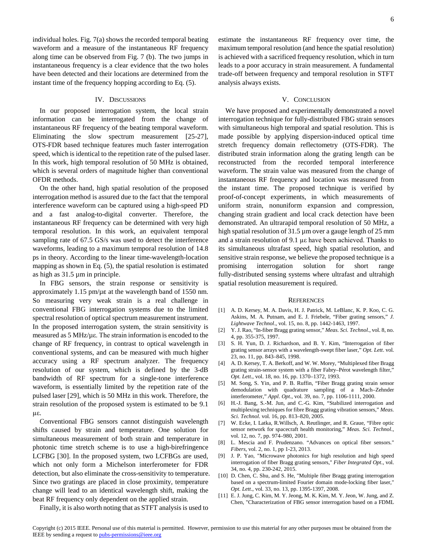individual holes. Fig. 7(a) shows the recorded temporal beating waveform and a measure of the instantaneous RF frequency along time can be observed from Fig. 7 (b). The two jumps in instantaneous frequency is a clear evidence that the two holes have been detected and their locations are determined from the instant time of the frequency hopping according to Eq. (5).

#### IV. DISCUSSIONS

In our proposed interrogation system, the local strain information can be interrogated from the change of instantaneous RF frequency of the beating temporal waveform. Eliminating the slow spectrum measurement [25-27], OTS-FDR based technique features much faster interrogation speed, which is identical to the repetition rate of the pulsed laser. In this work, high temporal resolution of 50 MHz is obtained, which is several orders of magnitude higher than conventional OFDR methods.

On the other hand, high spatial resolution of the proposed interrogation method is assured due to the fact that the temporal interference waveform can be captured using a high-speed PD and a fast analog-to-digital converter. Therefore, the instantaneous RF frequency can be determined with very high temporal resolution. In this work, an equivalent temporal sampling rate of 67.5 GS/s was used to detect the interference waveforms, leading to a maximum temporal resolution of 14.8 ps in theory. According to the linear time-wavelength-location mapping as shown in Eq. (5), the spatial resolution is estimated as high as 31.5 µm in principle.

In FBG sensors, the strain response or sensitivity is approximately 1.15  $pm/\mu\epsilon$  at the wavelength band of 1550 nm. So measuring very weak strain is a real challenge in conventional FBG interrogation systems due to the limited spectral resolution of optical spectrum measurement instrument. In the proposed interrogation system, the strain sensitivity is measured as  $5 \text{ MHz/u}$  $\varepsilon$ . The strain information is encoded to the change of RF frequency, in contrast to optical wavelength in conventional systems, and can be measured with much higher accuracy using a RF spectrum analyzer. The frequency resolution of our system, which is defined by the 3-dB bandwidth of RF spectrum for a single-tone interference waveform, is essentially limited by the repetition rate of the pulsed laser [29], which is 50 MHz in this work. Therefore, the strain resolution of the proposed system is estimated to be 9.1  $με.$ 

Conventional FBG sensors cannot distinguish wavelength shifts caused by strain and temperature. One solution for simultaneous measurement of both strain and temperature in photonic time stretch scheme is to use a high-birefringence LCFBG [30]. In the proposed system, two LCFBGs are used, which not only form a Michelson interferometer for FDR detection, but also eliminate the cross-sensitivity to temperature. Since two gratings are placed in close proximity, temperature change will lead to an identical wavelength shift, making the beat RF frequency only dependent on the applied strain.

estimate the instantaneous RF frequency over time, the maximum temporal resolution (and hence the spatial resolution) is achieved with a sacrificed frequency resolution, which in turn leads to a poor accuracy in strain measurement. A fundamental trade-off between frequency and temporal resolution in STFT analysis always exists.

#### V. CONCLUSION

We have proposed and experimentally demonstrated a novel interrogation technique for fully-distributed FBG strain sensors with simultaneous high temporal and spatial resolution. This is made possible by applying dispersion-induced optical time stretch frequency domain reflectometry (OTS-FDR). The distributed strain information along the grating length can be reconstructed from the recorded temporal interference waveform. The strain value was measured from the change of instantaneous RF frequency and location was measured from the instant time. The proposed technique is verified by proof-of-concept experiments, in which measurements of uniform strain, nonuniform expansion and compression, changing strain gradient and local crack detection have been demonstrated. An ultrarapid temporal resolution of 50 MHz, a high spatial resolution of 31.5 µm over a gauge length of 25 mm and a strain resolution of 9.1 µe have been achieved. Thanks to its simultaneous ultrafast speed, high spatial resolution, and sensitive strain response, we believe the proposed technique is a promising interrogation solution for short range fully-distributed sensing systems where ultrafast and ultrahigh spatial resolution measurement is required.

#### **REFERENCES**

- [1] A. D. Kersey, M. A. Davis, H. J. Patrick, M. LeBlanc, K. P. Koo, C. G. Askins, M. A. Putnam, and E. J. Friebele, "Fiber grating sensors," *J. Lightwave Technol*., vol. 15, no. 8, pp. 1442-1463, 1997.
- [2] Y. J. Rao, "In-fiber Bragg grating sensor," *Meas. Sci. Technol*., vol. 8, no. 4, pp. 355-375, 1997.
- [3] S. H. Yun, D. J. Richardson, and B. Y. Kim, "Interrogation of fiber grating sensor arrays with a wavelength-swept fiber laser," *Opt. Lett*. vol. 23, no. 11, pp. 843–845, 1998.
- [4] A. D. Kersey, T. A. Berkoff, and W. W. Morey, "Multiplexed fiber Bragg grating strain-sensor system with a fiber Fabry–Pérot wavelength filter," *Opt. Lett*., vol. 18, no. 16, pp. 1370–1372, 1993.
- [5] M. Song, S. Yin, and P. B. Ruffin, "Fiber Bragg grating strain sensor demodulation with quadrature sampling of a Mach–Zehnder interferometer," *Appl. Opt*., vol. 39, no. 7, pp. 1106-1111, 2000.
- [6] H.-J. Bang, S.-M. Jun, and C.-G. Kim, "Stabilized interrogation and multiplexing techniques for fibre Bragg grating vibration sensors," *Meas. Sci. Technol*. vol. 16, pp. 813–820, 2005.
- [7] W. Ecke, I. Latka, R.Willsch, A. Reutlinger, and R. Graue, "Fibre optic sensor network for spacecraft health monitoring," *Meas. Sci. Technol*., vol. 12, no. 7, pp. 974–980, 2001.
- [8] L. Mescia and F. Prudenzano. "Advances on optical fiber sensors." *Fibers*, vol. 2, no. 1, pp 1-23, 2013.
- [9] J. P. Yao, "Microwave photonics for high resolution and high speed interrogation of fiber Bragg grating sensors," *Fiber Integrated Opt*., vol. 34, no. 4, pp. 230-242, 2015.
- [10] D. Chen, C. Shu, and S. He, "Multiple fiber Bragg grating interrogation based on a spectrum-limited Fourier domain mode-locking fiber laser," *Opt. Lett*., vol. 33, no. 13, pp. 1395-1397, 2008.
- [11] E. J. Jung, C. Kim, M. Y. Jeong, M. K. Kim, M. Y. Jeon, W. Jung, and Z. Chen, "Characterization of FBG sensor interrogation based on a FDML